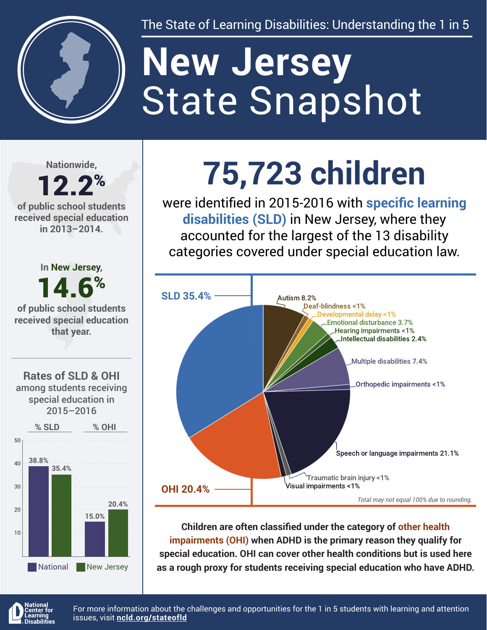

The State of Learning Disabilities: Understanding the 1 in 5

# State Snapshot **New Jersey**

**Nationwide,**

#### 12.2% **of public school students received special education in 2013–2014.**





## **75,723 children**

were identified in 2015-2016 with **specific learning disabilities (SLD)** in New Jersey, where they accounted for the largest of the 13 disability categories covered under special education law.



**Children are often classified under the category of other health impairments (OHI) when ADHD is the primary reason they qualify for special education. OHI can cover other health conditions but is used here as a rough proxy for students receiving special education who have ADHD.**



For more information about the challenges and opportunities for the 1 in 5 students with learning and attention issues, visit **[ncld.org/stateofld](http://ncld.org/stateofld)**